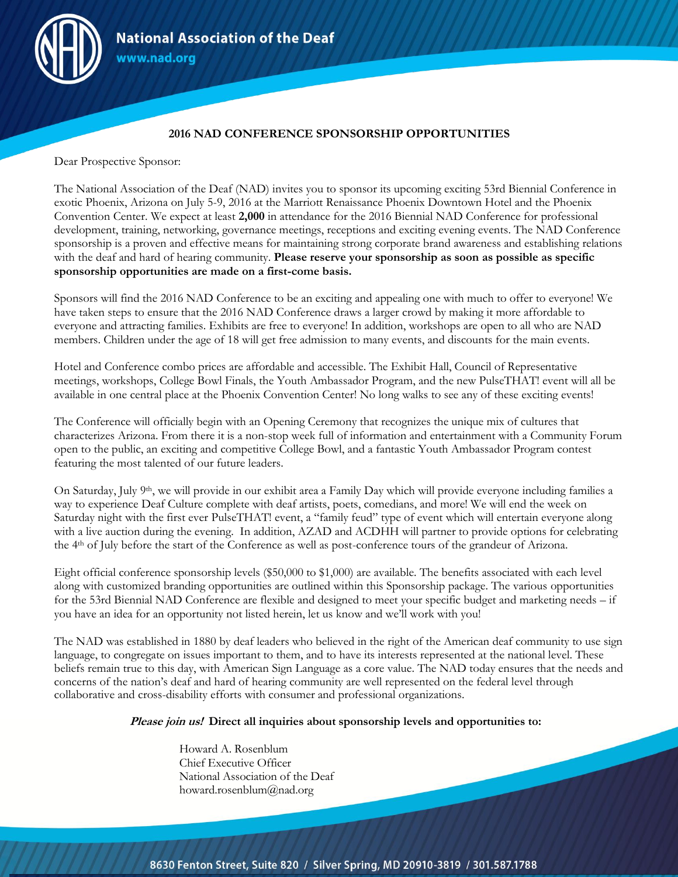

# **2016 NAD CONFERENCE SPONSORSHIP OPPORTUNITIES**

Dear Prospective Sponsor:

The National Association of the Deaf (NAD) invites you to sponsor its upcoming exciting 53rd Biennial Conference in exotic Phoenix, Arizona on July 5-9, 2016 at the Marriott Renaissance Phoenix Downtown Hotel and the Phoenix Convention Center. We expect at least **2,000** in attendance for the 2016 Biennial NAD Conference for professional development, training, networking, governance meetings, receptions and exciting evening events. The NAD Conference sponsorship is a proven and effective means for maintaining strong corporate brand awareness and establishing relations with the deaf and hard of hearing community. **Please reserve your sponsorship as soon as possible as specific sponsorship opportunities are made on a first-come basis.**

Sponsors will find the 2016 NAD Conference to be an exciting and appealing one with much to offer to everyone! We have taken steps to ensure that the 2016 NAD Conference draws a larger crowd by making it more affordable to everyone and attracting families. Exhibits are free to everyone! In addition, workshops are open to all who are NAD members. Children under the age of 18 will get free admission to many events, and discounts for the main events.

Hotel and Conference combo prices are affordable and accessible. The Exhibit Hall, Council of Representative meetings, workshops, College Bowl Finals, the Youth Ambassador Program, and the new PulseTHAT! event will all be available in one central place at the Phoenix Convention Center! No long walks to see any of these exciting events!

The Conference will officially begin with an Opening Ceremony that recognizes the unique mix of cultures that characterizes Arizona. From there it is a non-stop week full of information and entertainment with a Community Forum open to the public, an exciting and competitive College Bowl, and a fantastic Youth Ambassador Program contest featuring the most talented of our future leaders.

On Saturday, July 9th, we will provide in our exhibit area a Family Day which will provide everyone including families a way to experience Deaf Culture complete with deaf artists, poets, comedians, and more! We will end the week on Saturday night with the first ever PulseTHAT! event, a "family feud" type of event which will entertain everyone along with a live auction during the evening. In addition, AZAD and ACDHH will partner to provide options for celebrating the 4th of July before the start of the Conference as well as post-conference tours of the grandeur of Arizona.

Eight official conference sponsorship levels (\$50,000 to \$1,000) are available. The benefits associated with each level along with customized branding opportunities are outlined within this Sponsorship package. The various opportunities for the 53rd Biennial NAD Conference are flexible and designed to meet your specific budget and marketing needs – if you have an idea for an opportunity not listed herein, let us know and we'll work with you!

The NAD was established in 1880 by deaf leaders who believed in the right of the American deaf community to use sign language, to congregate on issues important to them, and to have its interests represented at the national level. These beliefs remain true to this day, with American Sign Language as a core value. The NAD today ensures that the needs and concerns of the nation's deaf and hard of hearing community are well represented on the federal level through collaborative and cross-disability efforts with consumer and professional organizations.

## **Please join us! Direct all inquiries about sponsorship levels and opportunities to:**

Howard A. Rosenblum Chief Executive Officer National Association of the Deaf howard.rosenblum@nad.org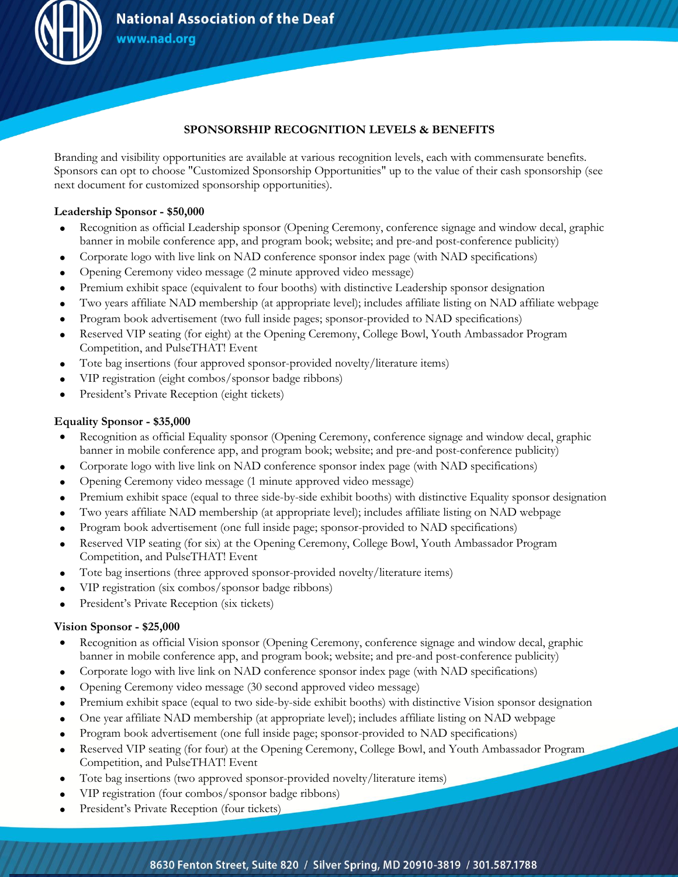

# **SPONSORSHIP RECOGNITION LEVELS & BENEFITS**

Branding and visibility opportunities are available at various recognition levels, each with commensurate benefits. Sponsors can opt to choose "Customized Sponsorship Opportunities" up to the value of their cash sponsorship (see next document for customized sponsorship opportunities).

## **Leadership Sponsor - \$50,000**

- Recognition as official Leadership sponsor (Opening Ceremony, conference signage and window decal, graphic banner in mobile conference app, and program book; website; and pre-and post-conference publicity)
- Corporate logo with live link on NAD conference sponsor index page (with NAD specifications)
- Opening Ceremony video message (2 minute approved video message)
- Premium exhibit space (equivalent to four booths) with distinctive Leadership sponsor designation
- Two years affiliate NAD membership (at appropriate level); includes affiliate listing on NAD affiliate webpage
- Program book advertisement (two full inside pages; sponsor-provided to NAD specifications)
- Reserved VIP seating (for eight) at the Opening Ceremony, College Bowl, Youth Ambassador Program Competition, and PulseTHAT! Event
- Tote bag insertions (four approved sponsor-provided novelty/literature items)
- VIP registration (eight combos/sponsor badge ribbons)
- President's Private Reception (eight tickets)

## **Equality Sponsor - \$35,000**

- Recognition as official Equality sponsor (Opening Ceremony, conference signage and window decal, graphic banner in mobile conference app, and program book; website; and pre-and post-conference publicity)
- Corporate logo with live link on NAD conference sponsor index page (with NAD specifications)
- Opening Ceremony video message (1 minute approved video message)
- Premium exhibit space (equal to three side-by-side exhibit booths) with distinctive Equality sponsor designation
- Two years affiliate NAD membership (at appropriate level); includes affiliate listing on NAD webpage
- Program book advertisement (one full inside page; sponsor-provided to NAD specifications)
- Reserved VIP seating (for six) at the Opening Ceremony, College Bowl, Youth Ambassador Program Competition, and PulseTHAT! Event
- Tote bag insertions (three approved sponsor-provided novelty/literature items)
- VIP registration (six combos/sponsor badge ribbons)
- President's Private Reception (six tickets)

## **Vision Sponsor - \$25,000**

- Recognition as official Vision sponsor (Opening Ceremony, conference signage and window decal, graphic banner in mobile conference app, and program book; website; and pre-and post-conference publicity)
- Corporate logo with live link on NAD conference sponsor index page (with NAD specifications)
- Opening Ceremony video message (30 second approved video message)
- Premium exhibit space (equal to two side-by-side exhibit booths) with distinctive Vision sponsor designation
- One year affiliate NAD membership (at appropriate level); includes affiliate listing on NAD webpage
- Program book advertisement (one full inside page; sponsor-provided to NAD specifications)
- Reserved VIP seating (for four) at the Opening Ceremony, College Bowl, and Youth Ambassador Program Competition, and PulseTHAT! Event
- Tote bag insertions (two approved sponsor-provided novelty/literature items)
- VIP registration (four combos/sponsor badge ribbons)
- President's Private Reception (four tickets)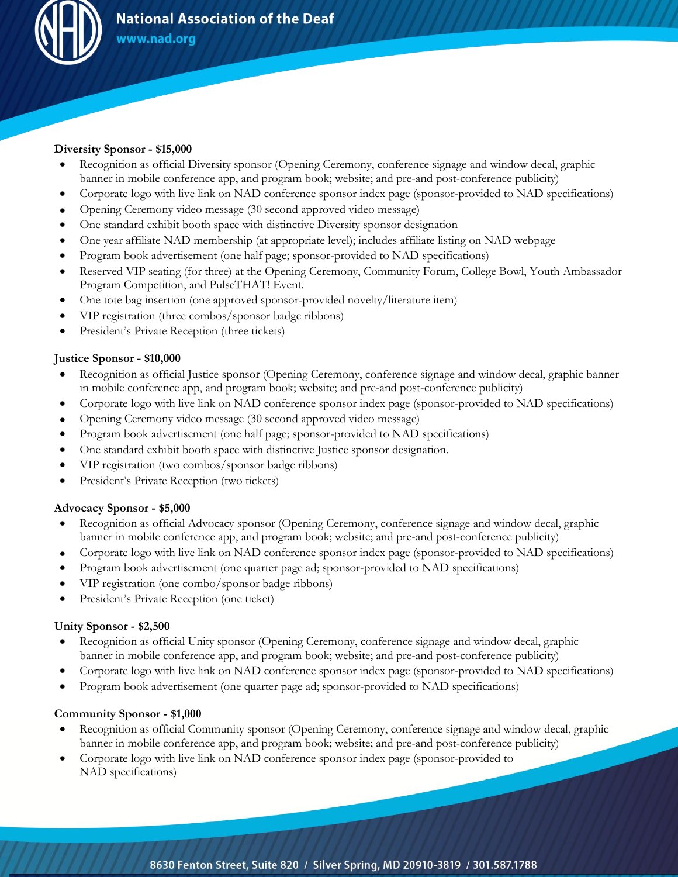

## **Diversity Sponsor - \$15,000**

- Recognition as official Diversity sponsor (Opening Ceremony, conference signage and window decal, graphic banner in mobile conference app, and program book; website; and pre-and post-conference publicity)
- Corporate logo with live link on NAD conference sponsor index page (sponsor-provided to NAD specifications)
- Opening Ceremony video message (30 second approved video message)
- One standard exhibit booth space with distinctive Diversity sponsor designation
- One year affiliate NAD membership (at appropriate level); includes affiliate listing on NAD webpage
- Program book advertisement (one half page; sponsor-provided to NAD specifications)
- Reserved VIP seating (for three) at the Opening Ceremony, Community Forum, College Bowl, Youth Ambassador Program Competition, and PulseTHAT! Event.
- One tote bag insertion (one approved sponsor-provided novelty/literature item)
- VIP registration (three combos/sponsor badge ribbons)
- President's Private Reception (three tickets)

## **Justice Sponsor - \$10,000**

- Recognition as official Justice sponsor (Opening Ceremony, conference signage and window decal, graphic banner in mobile conference app, and program book; website; and pre-and post-conference publicity)
- Corporate logo with live link on NAD conference sponsor index page (sponsor-provided to NAD specifications)
- Opening Ceremony video message (30 second approved video message)
- Program book advertisement (one half page; sponsor-provided to NAD specifications)
- One standard exhibit booth space with distinctive Justice sponsor designation.
- VIP registration (two combos/sponsor badge ribbons)
- President's Private Reception (two tickets)

## **Advocacy Sponsor - \$5,000**

- Recognition as official Advocacy sponsor (Opening Ceremony, conference signage and window decal, graphic banner in mobile conference app, and program book; website; and pre-and post-conference publicity)
- Corporate logo with live link on NAD conference sponsor index page (sponsor-provided to NAD specifications)
- Program book advertisement (one quarter page ad; sponsor-provided to NAD specifications)
- VIP registration (one combo/sponsor badge ribbons)
- President's Private Reception (one ticket)

## **Unity Sponsor - \$2,500**

- Recognition as official Unity sponsor (Opening Ceremony, conference signage and window decal, graphic banner in mobile conference app, and program book; website; and pre-and post-conference publicity)
- Corporate logo with live link on NAD conference sponsor index page (sponsor-provided to NAD specifications)
- Program book advertisement (one quarter page ad; sponsor-provided to NAD specifications)

## **Community Sponsor - \$1,000**

- Recognition as official Community sponsor (Opening Ceremony, conference signage and window decal, graphic banner in mobile conference app, and program book; website; and pre-and post-conference publicity)
- Corporate logo with live link on NAD conference sponsor index page (sponsor-provided to NAD specifications)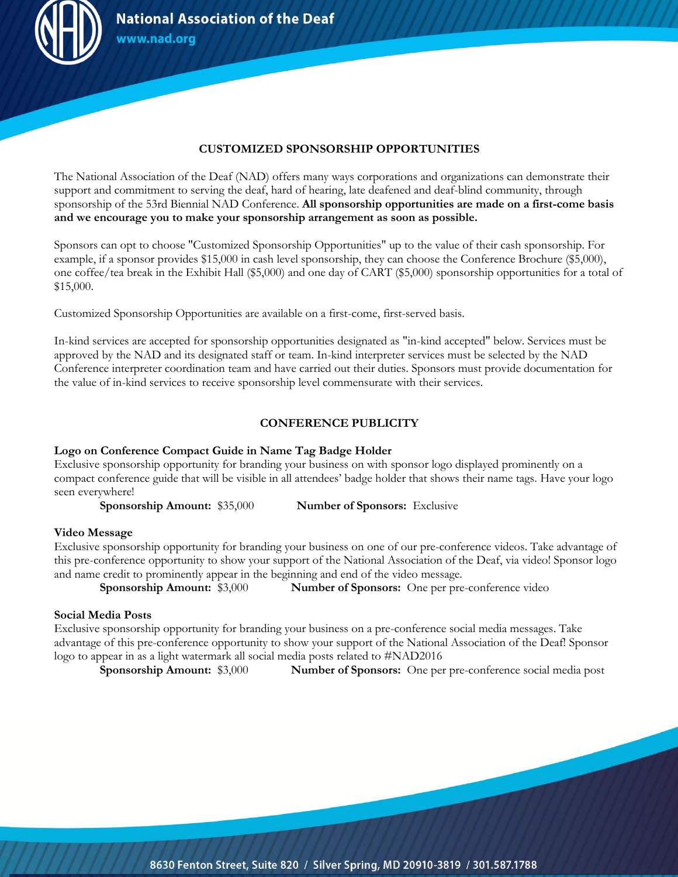

# **CUSTOMIZED SPONSORSHIP OPPORTUNITIES**

The National Association of the Deaf (NAD) offers many ways corporations and organizations can demonstrate their support and commitment to serving the deaf, hard of hearing, late deafened and deaf-blind community, through sponsorship of the 53rd Biennial NAD Conference. **All sponsorship opportunities are made on a first-come basis and we encourage you to make your sponsorship arrangement as soon as possible.**

Sponsors can opt to choose "Customized Sponsorship Opportunities" up to the value of their cash sponsorship. For example, if a sponsor provides \$15,000 in cash level sponsorship, they can choose the Conference Brochure (\$5,000), one coffee/tea break in the Exhibit Hall (\$5,000) and one day of CART (\$5,000) sponsorship opportunities for a total of \$15,000.

Customized Sponsorship Opportunities are available on a first-come, first-served basis.

In-kind services are accepted for sponsorship opportunities designated as "in-kind accepted" below. Services must be approved by the NAD and its designated staff or team. In-kind interpreter services must be selected by the NAD Conference interpreter coordination team and have carried out their duties. Sponsors must provide documentation for the value of in-kind services to receive sponsorship level commensurate with their services.

# **CONFERENCE PUBLICITY**

## **Logo on Conference Compact Guide in Name Tag Badge Holder**

Exclusive sponsorship opportunity for branding your business on with sponsor logo displayed prominently on a compact conference guide that will be visible in all attendees' badge holder that shows their name tags. Have your logo seen everywhere!

**Sponsorship Amount:** \$35,000 **Number of Sponsors:** Exclusive

#### **Video Message**

Exclusive sponsorship opportunity for branding your business on one of our pre-conference videos. Take advantage of this pre-conference opportunity to show your support of the National Association of the Deaf, via video! Sponsor logo and name credit to prominently appear in the beginning and end of the video message.

**Sponsorship Amount:** \$3,000 **Number of Sponsors:** One per pre-conference video

#### **Social Media Posts**

Exclusive sponsorship opportunity for branding your business on a pre-conference social media messages. Take advantage of this pre-conference opportunity to show your support of the National Association of the Deaf! Sponsor logo to appear in as a light watermark all social media posts related to #NAD2016

**Sponsorship Amount:** \$3,000 **Number of Sponsors:** One per pre-conference social media post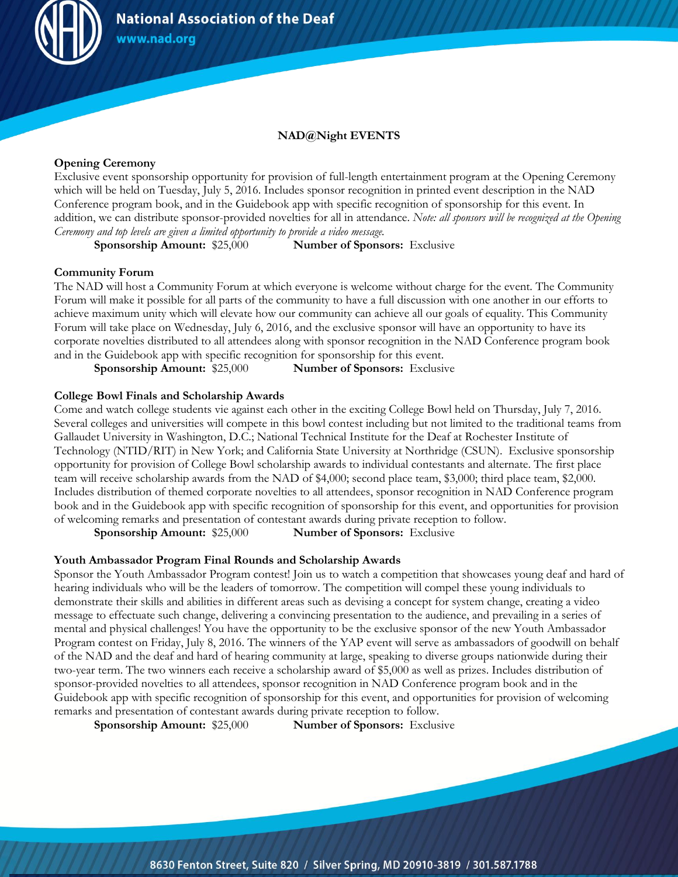

### **NAD@Night EVENTS**

#### **Opening Ceremony**

Exclusive event sponsorship opportunity for provision of full-length entertainment program at the Opening Ceremony which will be held on Tuesday, July 5, 2016. Includes sponsor recognition in printed event description in the NAD Conference program book, and in the Guidebook app with specific recognition of sponsorship for this event. In addition, we can distribute sponsor-provided novelties for all in attendance. *Note: all sponsors will be recognized at the Opening Ceremony and top levels are given a limited opportunity to provide a video message.*

**Sponsorship Amount:** \$25,000 **Number of Sponsors:** Exclusive

#### **Community Forum**

The NAD will host a Community Forum at which everyone is welcome without charge for the event. The Community Forum will make it possible for all parts of the community to have a full discussion with one another in our efforts to achieve maximum unity which will elevate how our community can achieve all our goals of equality. This Community Forum will take place on Wednesday, July 6, 2016, and the exclusive sponsor will have an opportunity to have its corporate novelties distributed to all attendees along with sponsor recognition in the NAD Conference program book and in the Guidebook app with specific recognition for sponsorship for this event.

**Sponsorship Amount: \$25,000 <b>Number of Sponsors:** Exclusive

#### **College Bowl Finals and Scholarship Awards**

Come and watch college students vie against each other in the exciting College Bowl held on Thursday, July 7, 2016. Several colleges and universities will compete in this bowl contest including but not limited to the traditional teams from Gallaudet University in Washington, D.C.; National Technical Institute for the Deaf at Rochester Institute of Technology (NTID/RIT) in New York; and California State University at Northridge (CSUN). Exclusive sponsorship opportunity for provision of College Bowl scholarship awards to individual contestants and alternate. The first place team will receive scholarship awards from the NAD of \$4,000; second place team, \$3,000; third place team, \$2,000. Includes distribution of themed corporate novelties to all attendees, sponsor recognition in NAD Conference program book and in the Guidebook app with specific recognition of sponsorship for this event, and opportunities for provision of welcoming remarks and presentation of contestant awards during private reception to follow.

**Sponsorship Amount:** \$25,000 **Number of Sponsors:** Exclusive

#### **Youth Ambassador Program Final Rounds and Scholarship Awards**

Sponsor the Youth Ambassador Program contest! Join us to watch a competition that showcases young deaf and hard of hearing individuals who will be the leaders of tomorrow. The competition will compel these young individuals to demonstrate their skills and abilities in different areas such as devising a concept for system change, creating a video message to effectuate such change, delivering a convincing presentation to the audience, and prevailing in a series of mental and physical challenges! You have the opportunity to be the exclusive sponsor of the new Youth Ambassador Program contest on Friday, July 8, 2016. The winners of the YAP event will serve as ambassadors of goodwill on behalf of the NAD and the deaf and hard of hearing community at large, speaking to diverse groups nationwide during their two-year term. The two winners each receive a scholarship award of \$5,000 as well as prizes. Includes distribution of sponsor-provided novelties to all attendees, sponsor recognition in NAD Conference program book and in the Guidebook app with specific recognition of sponsorship for this event, and opportunities for provision of welcoming remarks and presentation of contestant awards during private reception to follow.

**Sponsorship Amount:** \$25,000 **Number of Sponsors:** Exclusive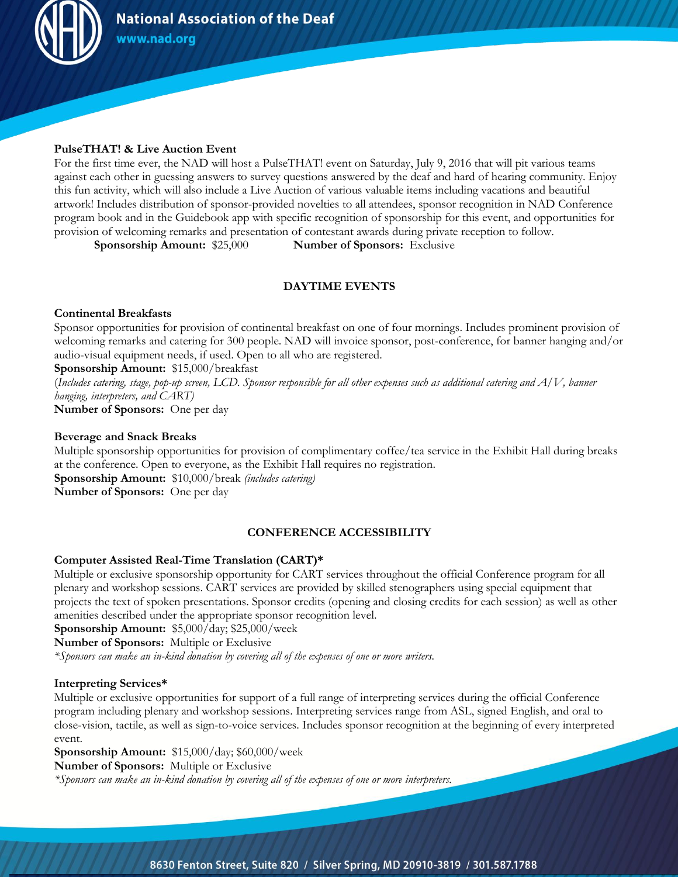

### **PulseTHAT! & Live Auction Event**

For the first time ever, the NAD will host a PulseTHAT! event on Saturday, July 9, 2016 that will pit various teams against each other in guessing answers to survey questions answered by the deaf and hard of hearing community. Enjoy this fun activity, which will also include a Live Auction of various valuable items including vacations and beautiful artwork! Includes distribution of sponsor-provided novelties to all attendees, sponsor recognition in NAD Conference program book and in the Guidebook app with specific recognition of sponsorship for this event, and opportunities for provision of welcoming remarks and presentation of contestant awards during private reception to follow.

**Sponsorship Amount:** \$25,000 **Number of Sponsors:** Exclusive

# **DAYTIME EVENTS**

#### **Continental Breakfasts**

Sponsor opportunities for provision of continental breakfast on one of four mornings. Includes prominent provision of welcoming remarks and catering for 300 people. NAD will invoice sponsor, post-conference, for banner hanging and/or audio-visual equipment needs, if used. Open to all who are registered.

**Sponsorship Amount:** \$15,000/breakfast

(*Includes catering, stage, pop-up screen, LCD. Sponsor responsible for all other expenses such as additional catering and A/V, banner hanging, interpreters, and CART)*

**Number of Sponsors:** One per day

#### **Beverage and Snack Breaks**

Multiple sponsorship opportunities for provision of complimentary coffee/tea service in the Exhibit Hall during breaks at the conference. Open to everyone, as the Exhibit Hall requires no registration. **Sponsorship Amount:** \$10,000/break *(includes catering)* **Number of Sponsors:** One per day

## **CONFERENCE ACCESSIBILITY**

### **Computer Assisted Real-Time Translation (CART)\***

Multiple or exclusive sponsorship opportunity for CART services throughout the official Conference program for all plenary and workshop sessions. CART services are provided by skilled stenographers using special equipment that projects the text of spoken presentations. Sponsor credits (opening and closing credits for each session) as well as other amenities described under the appropriate sponsor recognition level.

**Sponsorship Amount:** \$5,000/day; \$25,000/week

**Number of Sponsors:** Multiple or Exclusive

*\*Sponsors can make an in-kind donation by covering all of the expenses of one or more writers.*

### **Interpreting Services\***

Multiple or exclusive opportunities for support of a full range of interpreting services during the official Conference program including plenary and workshop sessions. Interpreting services range from ASL, signed English, and oral to close-vision, tactile, as well as sign-to-voice services. Includes sponsor recognition at the beginning of every interpreted event.

**Sponsorship Amount:** \$15,000/day; \$60,000/week

**Number of Sponsors:** Multiple or Exclusive

*\*Sponsors can make an in-kind donation by covering all of the expenses of one or more interpreters.*

8630 Fenton Street, Suite 820 / Silver Spring, MD 20910-3819 / 301.587.1788